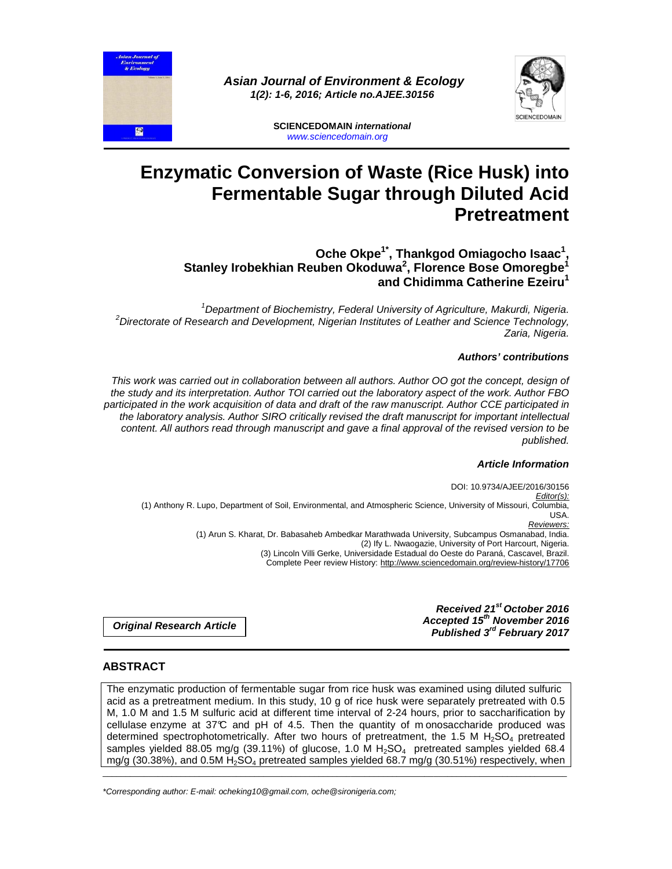



**SCIENCEDOMAIN international**  www.sciencedomain.org

# **Enzymatic Conversion of Waste (Rice Husk) into Fermentable Sugar through Diluted Acid Pretreatment**

#### **Oche Okpe1\*, Thankgod Omiagocho Isaac<sup>1</sup> , Stanley Irobekhian Reuben Okoduwa<sup>2</sup> , Florence Bose Omoregbe<sup>1</sup> and Chidimma Catherine Ezeiru<sup>1</sup>**

<sup>1</sup>Department of Biochemistry, Federal University of Agriculture, Makurdi, Nigeria.  $2$ Directorate of Research and Development, Nigerian Institutes of Leather and Science Technology, Zaria, Nigeria.

## **Authors' contributions**

This work was carried out in collaboration between all authors. Author OO got the concept, design of the study and its interpretation. Author TOI carried out the laboratory aspect of the work. Author FBO participated in the work acquisition of data and draft of the raw manuscript. Author CCE participated in the laboratory analysis. Author SIRO critically revised the draft manuscript for important intellectual content. All authors read through manuscript and gave a final approval of the revised version to be published.

### **Article Information**

DOI: 10.9734/AJEE/2016/30156 Editor(s): (1) Anthony R. Lupo, Department of Soil, Environmental, and Atmospheric Science, University of Missouri, Columbia, USA. Reviewers: (1) Arun S. Kharat, Dr. Babasaheb Ambedkar Marathwada University, Subcampus Osmanabad, India. (2) Ify L. Nwaogazie, University of Port Harcourt, Nigeria. (3) Lincoln Villi Gerke, Universidade Estadual do Oeste do Paraná, Cascavel, Brazil. Complete Peer review History: http://www.sciencedomain.org/review-history/17706

> **Received 21st October 2016 Accepted 15th November 2016 Published 3rd February 2017**

**Original Research Article** 

## **ABSTRACT**

 $\mathbf{R}$ 

The enzymatic production of fermentable-sugar from rice husk was examined using diluted sulfuricacid as a pretreatment medium. In this study, 10 g of rice husk were separately pretreated with 0.5 M, 1.0 M and 1.5 M sulfuric acid at different time interval of 2-24 hours, prior to saccharification by cellulase enzyme at  $37^{\circ}C$  and pH of 4.5. Then the quantity of m onosaccharide produced was determined spectrophotometrically. After two hours of pretreatment, the 1.5 M  $H_2SO_4$  pretreated samples yielded 88.05 mg/g (39.11%) of glucose, 1.0 M  $H<sub>2</sub>SO<sub>4</sub>$  pretreated samples yielded 68.4 mg/g (30.38%), and 0.5M  $H_2$ SO<sub>4</sub> pretreated samples yielded 68.7 mg/g (30.51%) respectively, when

\_\_\_\_\_\_\_\_\_\_\_\_\_\_\_\_\_\_\_\_\_\_\_\_\_\_\_\_\_\_\_\_\_\_\_\_\_\_\_\_\_\_\_\_\_\_\_\_\_\_\_\_\_\_\_\_\_\_\_\_\_\_\_\_\_\_\_\_\_\_\_\_\_\_\_\_\_\_\_\_\_\_\_\_\_\_\_\_\_\_\_\_\_\_\_\_\_\_\_\_\_

\*Corresponding author: E-mail: ocheking10@gmail.com, oche@sironigeria.com;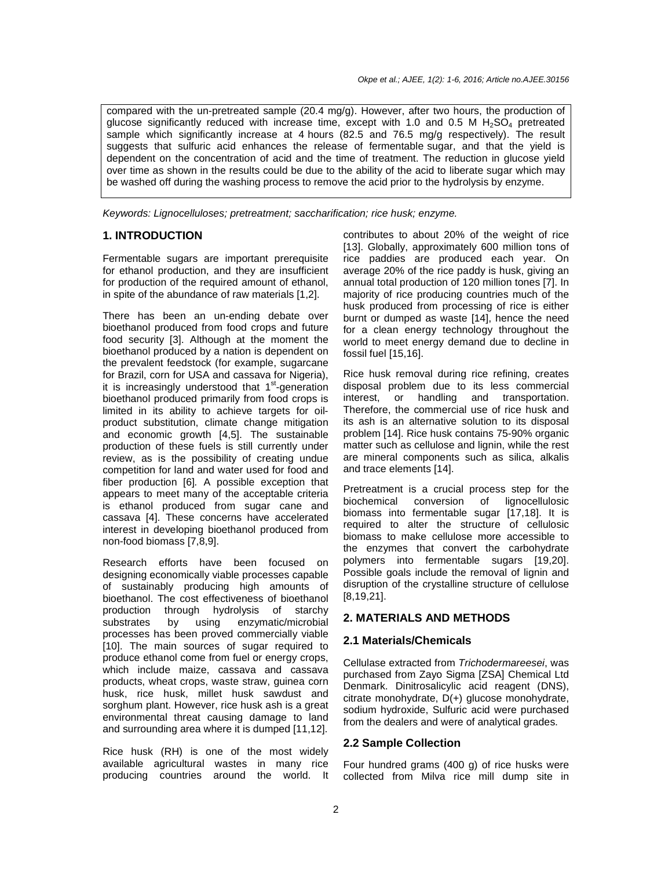compared with the un-pretreated sample (20.4 mg/g). However, after two hours, the production of glucose significantly reduced with increase time, except with 1.0 and 0.5 M  $H_2SO_4$  pretreated sample which significantly increase at 4 hours (82.5 and 76.5 mg/g respectively). The result suggests that sulfuric acid enhances the release of fermentable sugar, and that the yield is dependent on the concentration of acid and the time of treatment. The reduction in glucose yield over time as shown in the results could be due to the ability of the acid to liberate sugar which may be washed off during the washing process to remove the acid prior to the hydrolysis by enzyme.

Keywords: Lignocelluloses; pretreatment; saccharification; rice husk; enzyme.

#### **1. INTRODUCTION**

Fermentable sugars are important prerequisite for ethanol production, and they are insufficient for production of the required amount of ethanol, in spite of the abundance of raw materials [1,2].

There has been an un-ending debate over bioethanol produced from food crops and future food security [3]. Although at the moment the bioethanol produced by a nation is dependent on the prevalent feedstock (for example, sugarcane for Brazil, corn for USA and cassava for Nigeria), it is increasingly understood that 1<sup>st</sup>-generation bioethanol produced primarily from food crops is limited in its ability to achieve targets for oilproduct substitution, climate change mitigation and economic growth [4,5]. The sustainable production of these fuels is still currently under review, as is the possibility of creating undue competition for land and water used for food and fiber production [6]. A possible exception that appears to meet many of the acceptable criteria is ethanol produced from sugar cane and cassava [4]. These concerns have accelerated interest in developing bioethanol produced from non-food biomass [7,8,9].

Research efforts have been focused on designing economically viable processes capable of sustainably producing high amounts of bioethanol. The cost effectiveness of bioethanol production through hydrolysis of starchy substrates by using enzymatic/microbial processes has been proved commercially viable [10]. The main sources of sugar required to produce ethanol come from fuel or energy crops, which include maize, cassava and cassava products, wheat crops, waste straw, guinea corn husk, rice husk, millet husk sawdust and sorghum plant. However, rice husk ash is a great environmental threat causing damage to land and surrounding area where it is dumped [11,12].

Rice husk (RH) is one of the most widely available agricultural wastes in many rice producing countries around the world. It contributes to about 20% of the weight of rice [13]. Globally, approximately 600 million tons of rice paddies are produced each year. On average 20% of the rice paddy is husk, giving an annual total production of 120 million tones [7]. In majority of rice producing countries much of the husk produced from processing of rice is either burnt or dumped as waste [14], hence the need for a clean energy technology throughout the world to meet energy demand due to decline in fossil fuel [15,16].

Rice husk removal during rice refining, creates disposal problem due to its less commercial interest, or handling and transportation. Therefore, the commercial use of rice husk and its ash is an alternative solution to its disposal problem [14]. Rice husk contains 75-90% organic matter such as cellulose and lignin, while the rest are mineral components such as silica, alkalis and trace elements [14].

Pretreatment is a crucial process step for the biochemical conversion of lignocellulosic biomass into fermentable sugar [17,18]. It is required to alter the structure of cellulosic biomass to make cellulose more accessible to the enzymes that convert the carbohydrate polymers into fermentable sugars [19,20]. Possible goals include the removal of lignin and disruption of the crystalline structure of cellulose [8,19,21].

#### **2. MATERIALS AND METHODS**

#### **2.1 Materials/Chemicals**

Cellulase extracted from Trichodermareesei, was purchased from Zayo Sigma [ZSA] Chemical Ltd Denmark. Dinitrosalicylic acid reagent (DNS), citrate monohydrate, D(+) glucose monohydrate, sodium hydroxide, Sulfuric acid were purchased from the dealers and were of analytical grades.

#### **2.2 Sample Collection**

Four hundred grams (400 g) of rice husks were collected from Milva rice mill dump site in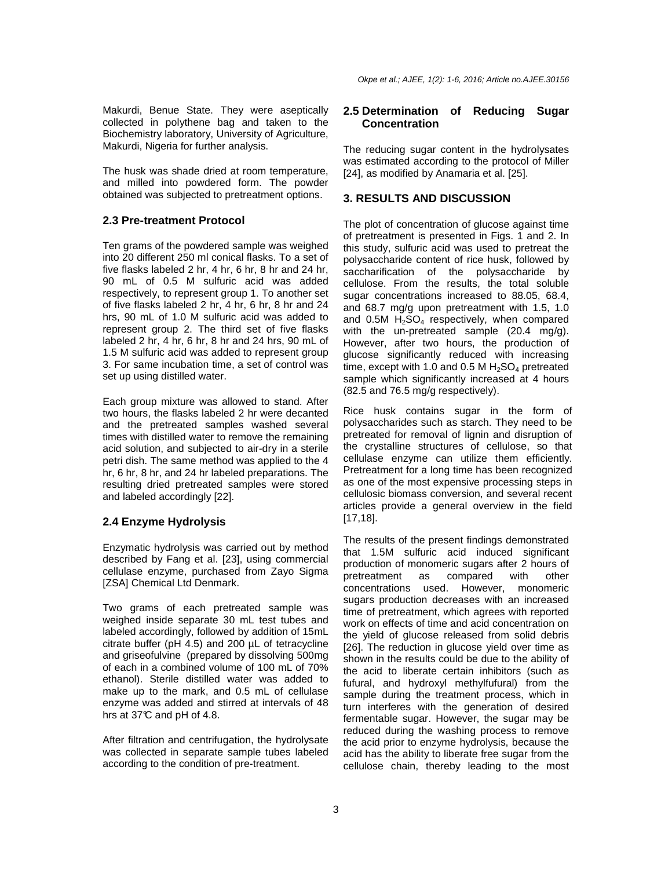Okpe et al.; AJEE, 1(2): 1-6, 2016; Article no.AJEE.30156

Makurdi, Benue State. They were aseptically collected in polythene bag and taken to the Biochemistry laboratory, University of Agriculture, Makurdi, Nigeria for further analysis.

The husk was shade dried at room temperature, and milled into powdered form. The powder obtained was subjected to pretreatment options.

## **2.3 Pre-treatment Protocol**

Ten grams of the powdered sample was weighed into 20 different 250 ml conical flasks. To a set of five flasks labeled 2 hr, 4 hr, 6 hr, 8 hr and 24 hr, 90 mL of 0.5 M sulfuric acid was added respectively, to represent group 1. To another set of five flasks labeled 2 hr, 4 hr, 6 hr, 8 hr and 24 hrs, 90 mL of 1.0 M sulfuric acid was added to represent group 2. The third set of five flasks labeled 2 hr, 4 hr, 6 hr, 8 hr and 24 hrs, 90 mL of 1.5 M sulfuric acid was added to represent group 3. For same incubation time, a set of control was set up using distilled water.

Each group mixture was allowed to stand. After two hours, the flasks labeled 2 hr were decanted and the pretreated samples washed several times with distilled water to remove the remaining acid solution, and subjected to air-dry in a sterile petri dish. The same method was applied to the 4 hr, 6 hr, 8 hr, and 24 hr labeled preparations. The resulting dried pretreated samples were stored and labeled accordingly [22].

# **2.4 Enzyme Hydrolysis**

Enzymatic hydrolysis was carried out by method described by Fang et al. [23], using commercial cellulase enzyme, purchased from Zayo Sigma [ZSA] Chemical Ltd Denmark.

Two grams of each pretreated sample was weighed inside separate 30 mL test tubes and labeled accordingly, followed by addition of 15mL citrate buffer ( $pH$  4.5) and 200  $\mu$ L of tetracycline and griseofulvine (prepared by dissolving 500mg of each in a combined volume of 100 mL of 70% ethanol). Sterile distilled water was added to make up to the mark, and 0.5 mL of cellulase enzyme was added and stirred at intervals of 48 hrs at 37°C and pH of 4.8.

After filtration and centrifugation, the hydrolysate was collected in separate sample tubes labeled according to the condition of pre-treatment.

# **2.5 Determination of Reducing Sugar Concentration**

The reducing sugar content in the hydrolysates was estimated according to the protocol of Miller [24], as modified by Anamaria et al. [25].

# **3. RESULTS AND DISCUSSION**

The plot of concentration of glucose against time of pretreatment is presented in Figs. 1 and 2. In this study, sulfuric acid was used to pretreat the polysaccharide content of rice husk, followed by saccharification of the polysaccharide by cellulose. From the results, the total soluble sugar concentrations increased to 88.05, 68.4, and 68.7 mg/g upon pretreatment with 1.5, 1.0 and 0.5M  $H_2SO_4$  respectively, when compared with the un-pretreated sample (20.4 mg/g). However, after two hours, the production of glucose significantly reduced with increasing time, except with 1.0 and 0.5 M  $H_2SO_4$  pretreated sample which significantly increased at 4 hours (82.5 and 76.5 mg/g respectively).

Rice husk contains sugar in the form of polysaccharides such as starch. They need to be pretreated for removal of lignin and disruption of the crystalline structures of cellulose, so that cellulase enzyme can utilize them efficiently. Pretreatment for a long time has been recognized as one of the most expensive processing steps in cellulosic biomass conversion, and several recent articles provide a general overview in the field [17,18].

The results of the present findings demonstrated that 1.5M sulfuric acid induced significant production of monomeric sugars after 2 hours of pretreatment as compared with other concentrations used. However, monomeric sugars production decreases with an increased time of pretreatment, which agrees with reported work on effects of time and acid concentration on the yield of glucose released from solid debris [26]. The reduction in glucose yield over time as shown in the results could be due to the ability of the acid to liberate certain inhibitors (such as fufural, and hydroxyl methylfufural) from the sample during the treatment process, which in turn interferes with the generation of desired fermentable sugar. However, the sugar may be reduced during the washing process to remove the acid prior to enzyme hydrolysis, because the acid has the ability to liberate free sugar from the cellulose chain, thereby leading to the most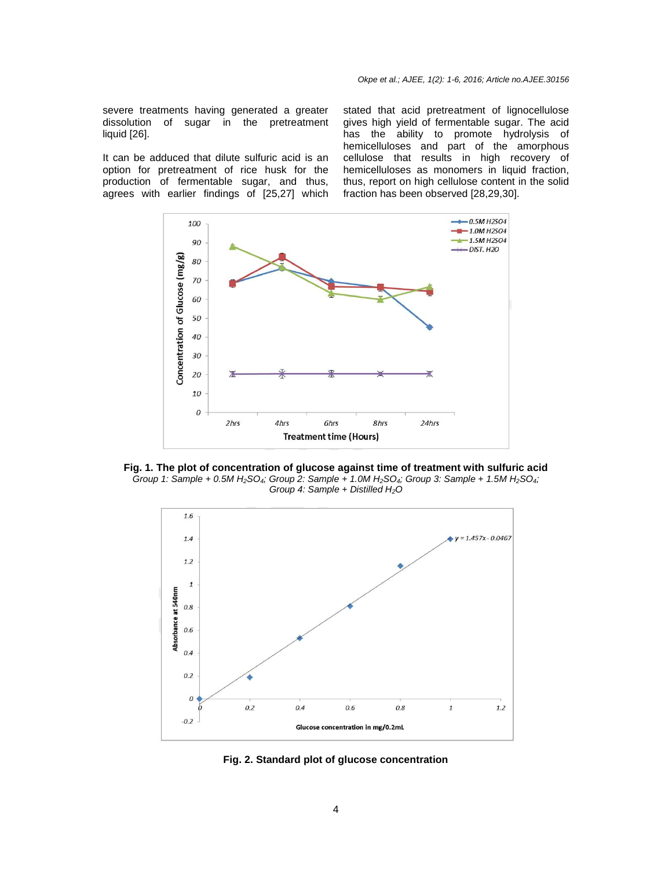severe treatments having generated a greater dissolution of sugar in the pretreatment liquid [26].

It can be adduced that dilute sulfuric acid is an option for pretreatment of rice husk for the production of fermentable sugar, and thus, agrees with earlier findings of [25,27] which

stated that acid pretreatment of lignocellulose gives high yield of fermentable sugar. The acid has the ability to promote hydrolysis of hemicelluloses and part of the amorphous cellulose that results in high recovery of hemicelluloses as monomers in liquid fraction, thus, report on high cellulose content in the solid fraction has been observed [28,29,30].



**Fig. 1. The plot of concentration of glucose against time of treatment with sulfuric acid**  Group 1: Sample + 0.5M H<sub>2</sub>SO<sub>4</sub>; Group 2: Sample + 1.0M H<sub>2</sub>SO<sub>4</sub>; Group 3: Sample + 1.5M H<sub>2</sub>SO<sub>4</sub>; Group 4: Sample + Distilled  $H_2O$ 



**Fig. 2. Standard plot of glucose concentration**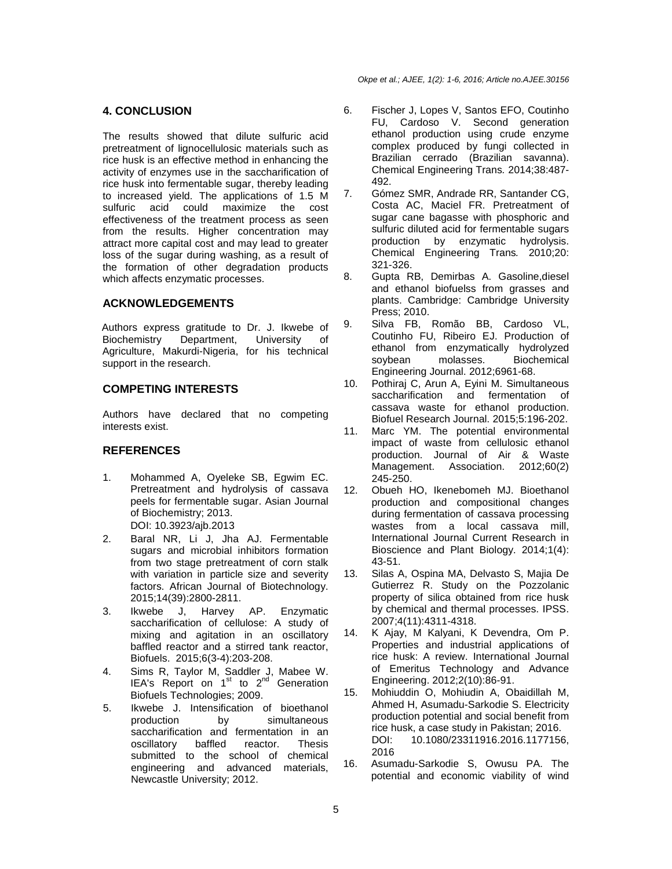Okpe et al.; AJEE, 1(2): 1-6, 2016; Article no.AJEE.30156

## **4. CONCLUSION**

The results showed that dilute sulfuric acid pretreatment of lignocellulosic materials such as rice husk is an effective method in enhancing the activity of enzymes use in the saccharification of rice husk into fermentable sugar, thereby leading to increased yield. The applications of 1.5 M sulfuric acid could maximize the cost effectiveness of the treatment process as seen from the results. Higher concentration may attract more capital cost and may lead to greater loss of the sugar during washing, as a result of the formation of other degradation products which affects enzymatic processes.

## **ACKNOWLEDGEMENTS**

Authors express gratitude to Dr. J. Ikwebe of Biochemistry Department, University of Agriculture, Makurdi-Nigeria, for his technical support in the research.

### **COMPETING INTERESTS**

Authors have declared that no competing interests exist.

#### **REFERENCES**

- 1. Mohammed A, Oyeleke SB, Egwim EC. Pretreatment and hydrolysis of cassava peels for fermentable sugar. Asian Journal of Biochemistry; 2013. DOI: 10.3923/ajb.2013
- 2. Baral NR, Li J, Jha AJ. Fermentable sugars and microbial inhibitors formation from two stage pretreatment of corn stalk with variation in particle size and severity factors. African Journal of Biotechnology. 2015;14(39):2800-2811.
- 3. Ikwebe J, Harvey AP. Enzymatic saccharification of cellulose: A study of mixing and agitation in an oscillatory baffled reactor and a stirred tank reactor, Biofuels. 2015;6(3-4):203-208.
- 4. Sims R, Taylor M, Saddler J, Mabee W. IEA's Report on  $1<sup>st</sup>$  to  $2<sup>nd</sup>$  Generation Biofuels Technologies; 2009.
- 5. Ikwebe J. Intensification of bioethanol by simultaneous saccharification and fermentation in an oscillatory baffled reactor. Thesis submitted to the school of chemical engineering and advanced materials, Newcastle University; 2012.
- 6. Fischer J, Lopes V, Santos EFO, Coutinho FU, Cardoso V. Second generation ethanol production using crude enzyme complex produced by fungi collected in Brazilian cerrado (Brazilian savanna). Chemical Engineering Trans. 2014;38:487- 492.
- 7. Gómez SMR, Andrade RR, Santander CG, Costa AC, Maciel FR. Pretreatment of sugar cane bagasse with phosphoric and sulfuric diluted acid for fermentable sugars production by enzymatic hydrolysis. Chemical Engineering Trans. 2010;20: 321-326.
- 8. Gupta RB, Demirbas A. Gasoline,diesel and ethanol biofuelss from grasses and plants. Cambridge: Cambridge University Press; 2010.
- 9. Silva FB, Romão BB, Cardoso VL, Coutinho FU, Ribeiro EJ. Production of ethanol from enzymatically hydrolyzed soybean molasses. Biochemical Engineering Journal. 2012;6961-68.
- 10. Pothiraj C, Arun A, Eyini M. Simultaneous saccharification and fermentation of cassava waste for ethanol production. Biofuel Research Journal. 2015;5:196-202.
- 11. Marc YM. The potential environmental impact of waste from cellulosic ethanol production. Journal of Air & Waste Management. Association. 2012;60(2) 245-250.
- 12. Obueh HO, Ikenebomeh MJ. Bioethanol production and compositional changes during fermentation of cassava processing wastes from a local cassava mill, International Journal Current Research in Bioscience and Plant Biology. 2014;1(4): 43-51.
- 13. Silas A, Ospina MA, Delvasto S, Majia De Gutierrez R. Study on the Pozzolanic property of silica obtained from rice husk by chemical and thermal processes. IPSS. 2007;4(11):4311-4318.
- 14. K Ajay, M Kalyani, K Devendra, Om P. Properties and industrial applications of rice husk: A review. International Journal of Emeritus Technology and Advance Engineering. 2012;2(10):86-91.
- 15. Mohiuddin O, Mohiudin A, Obaidillah M, Ahmed H, Asumadu-Sarkodie S. Electricity production potential and social benefit from rice husk, a case study in Pakistan; 2016. DOI: 10.1080/23311916.2016.1177156, 2016
- 16. Asumadu-Sarkodie S, Owusu PA. The potential and economic viability of wind